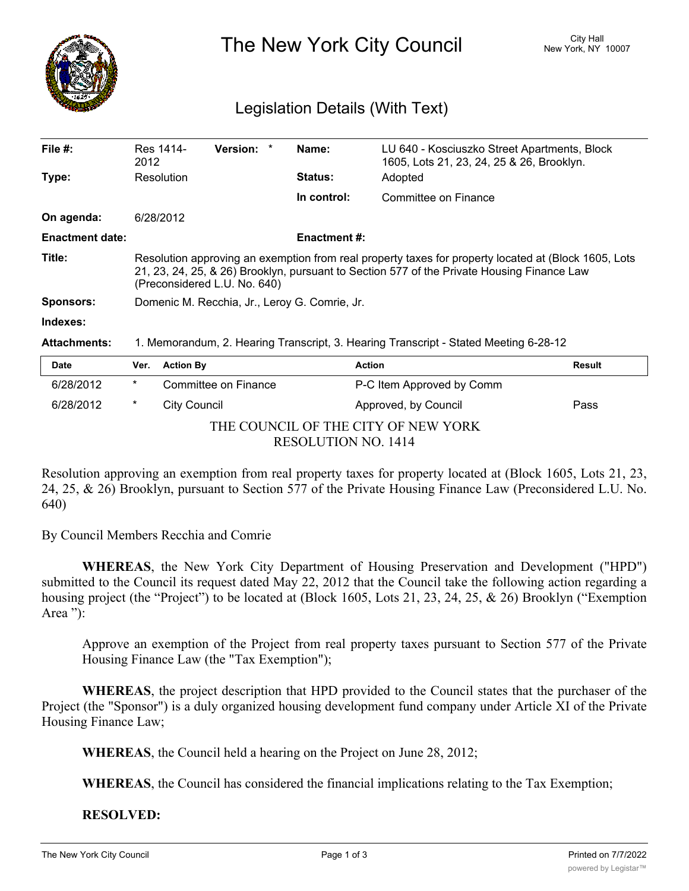

The New York City Council New York, NY 10007

## Legislation Details (With Text)

| File $#$ :             | Res 1414-<br>2012                                                                                                                                                                                                                  | <b>Version:</b> |  | Name:               | LU 640 - Kosciuszko Street Apartments, Block<br>1605, Lots 21, 23, 24, 25 & 26, Brooklyn. |               |  |
|------------------------|------------------------------------------------------------------------------------------------------------------------------------------------------------------------------------------------------------------------------------|-----------------|--|---------------------|-------------------------------------------------------------------------------------------|---------------|--|
| Type:                  | Resolution                                                                                                                                                                                                                         |                 |  | <b>Status:</b>      | Adopted                                                                                   |               |  |
|                        |                                                                                                                                                                                                                                    |                 |  | In control:         | Committee on Finance                                                                      |               |  |
| On agenda:             | 6/28/2012                                                                                                                                                                                                                          |                 |  |                     |                                                                                           |               |  |
| <b>Enactment date:</b> |                                                                                                                                                                                                                                    |                 |  | <b>Enactment #:</b> |                                                                                           |               |  |
| Title:                 | Resolution approving an exemption from real property taxes for property located at (Block 1605, Lots<br>21, 23, 24, 25, & 26) Brooklyn, pursuant to Section 577 of the Private Housing Finance Law<br>(Preconsidered L.U. No. 640) |                 |  |                     |                                                                                           |               |  |
| <b>Sponsors:</b>       | Domenic M. Recchia, Jr., Leroy G. Comrie, Jr.                                                                                                                                                                                      |                 |  |                     |                                                                                           |               |  |
| Indexes:               |                                                                                                                                                                                                                                    |                 |  |                     |                                                                                           |               |  |
| <b>Attachments:</b>    | 1. Memorandum, 2. Hearing Transcript, 3. Hearing Transcript - Stated Meeting 6-28-12                                                                                                                                               |                 |  |                     |                                                                                           |               |  |
| <b>Date</b>            | <b>Action By</b><br>Ver.                                                                                                                                                                                                           |                 |  | <b>Action</b>       |                                                                                           | <b>Result</b> |  |
|                        |                                                                                                                                                                                                                                    |                 |  |                     |                                                                                           |               |  |

| Date                                |        | ver. Action by       | ACtion                    | <b>Result</b> |  |  |  |  |  |
|-------------------------------------|--------|----------------------|---------------------------|---------------|--|--|--|--|--|
| 6/28/2012                           | $\ast$ | Committee on Finance | P-C Item Approved by Comm |               |  |  |  |  |  |
| 6/28/2012                           |        | City Council         | Approved, by Council      | Pass          |  |  |  |  |  |
| THE COUNCIL OF THE CITY OF NEW YORK |        |                      |                           |               |  |  |  |  |  |
| RESOLUTION NO. 1414                 |        |                      |                           |               |  |  |  |  |  |

Resolution approving an exemption from real property taxes for property located at (Block 1605, Lots 21, 23, 24, 25, & 26) Brooklyn, pursuant to Section 577 of the Private Housing Finance Law (Preconsidered L.U. No. 640)

By Council Members Recchia and Comrie

**WHEREAS**, the New York City Department of Housing Preservation and Development ("HPD") submitted to the Council its request dated May 22, 2012 that the Council take the following action regarding a housing project (the "Project") to be located at (Block 1605, Lots 21, 23, 24, 25, & 26) Brooklyn ("Exemption Area "):

Approve an exemption of the Project from real property taxes pursuant to Section 577 of the Private Housing Finance Law (the "Tax Exemption");

**WHEREAS**, the project description that HPD provided to the Council states that the purchaser of the Project (the "Sponsor") is a duly organized housing development fund company under Article XI of the Private Housing Finance Law;

**WHEREAS**, the Council held a hearing on the Project on June 28, 2012;

**WHEREAS**, the Council has considered the financial implications relating to the Tax Exemption;

**RESOLVED:**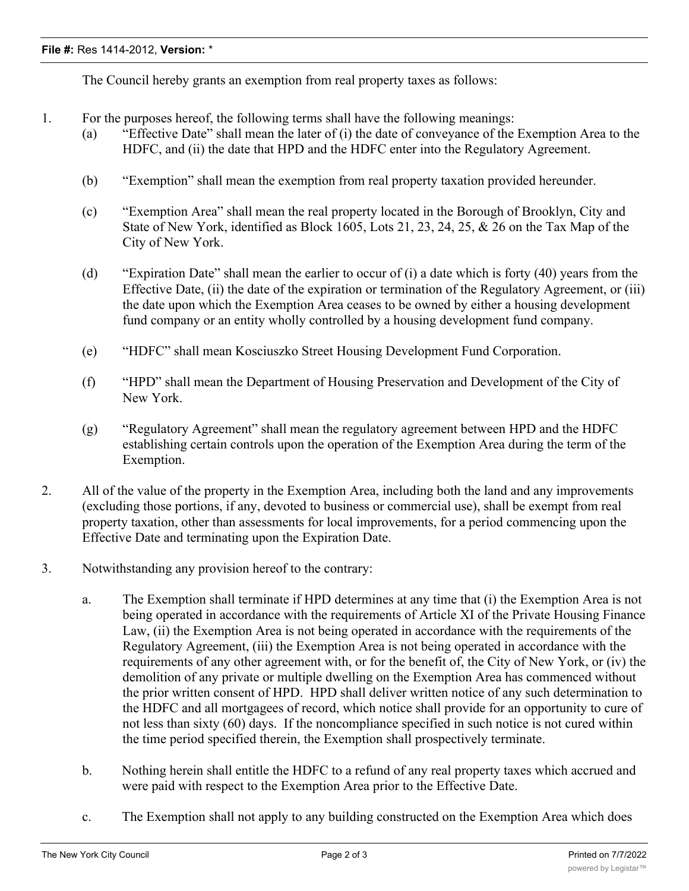The Council hereby grants an exemption from real property taxes as follows:

- 1. For the purposes hereof, the following terms shall have the following meanings:
	- (a) "Effective Date" shall mean the later of (i) the date of conveyance of the Exemption Area to the HDFC, and (ii) the date that HPD and the HDFC enter into the Regulatory Agreement.
	- (b) "Exemption" shall mean the exemption from real property taxation provided hereunder.
	- (c) "Exemption Area" shall mean the real property located in the Borough of Brooklyn, City and State of New York, identified as Block 1605, Lots 21, 23, 24, 25, & 26 on the Tax Map of the City of New York.
	- (d) "Expiration Date" shall mean the earlier to occur of (i) a date which is forty (40) years from the Effective Date, (ii) the date of the expiration or termination of the Regulatory Agreement, or (iii) the date upon which the Exemption Area ceases to be owned by either a housing development fund company or an entity wholly controlled by a housing development fund company.
	- (e) "HDFC" shall mean Kosciuszko Street Housing Development Fund Corporation.
	- (f) "HPD" shall mean the Department of Housing Preservation and Development of the City of New York.
	- (g) "Regulatory Agreement" shall mean the regulatory agreement between HPD and the HDFC establishing certain controls upon the operation of the Exemption Area during the term of the Exemption.
- 2. All of the value of the property in the Exemption Area, including both the land and any improvements (excluding those portions, if any, devoted to business or commercial use), shall be exempt from real property taxation, other than assessments for local improvements, for a period commencing upon the Effective Date and terminating upon the Expiration Date.
- 3. Notwithstanding any provision hereof to the contrary:
	- a. The Exemption shall terminate if HPD determines at any time that (i) the Exemption Area is not being operated in accordance with the requirements of Article XI of the Private Housing Finance Law, (ii) the Exemption Area is not being operated in accordance with the requirements of the Regulatory Agreement, (iii) the Exemption Area is not being operated in accordance with the requirements of any other agreement with, or for the benefit of, the City of New York, or (iv) the demolition of any private or multiple dwelling on the Exemption Area has commenced without the prior written consent of HPD. HPD shall deliver written notice of any such determination to the HDFC and all mortgagees of record, which notice shall provide for an opportunity to cure of not less than sixty (60) days. If the noncompliance specified in such notice is not cured within the time period specified therein, the Exemption shall prospectively terminate.
	- b. Nothing herein shall entitle the HDFC to a refund of any real property taxes which accrued and were paid with respect to the Exemption Area prior to the Effective Date.
	- c. The Exemption shall not apply to any building constructed on the Exemption Area which does